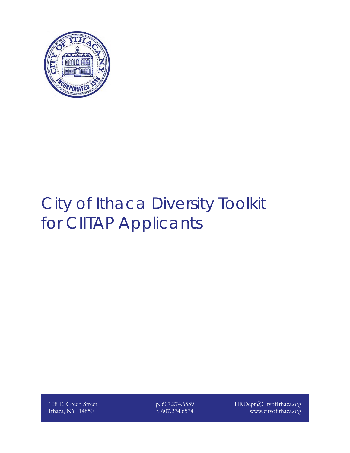

# City of Ithaca Diversity Toolkit for CIITAP Applicants

108 E. Green Street Ithaca, NY 14850

p. 607.274.6539 f. 607.274.6574

HRDept@CityofIthaca.org www.cityofithaca.org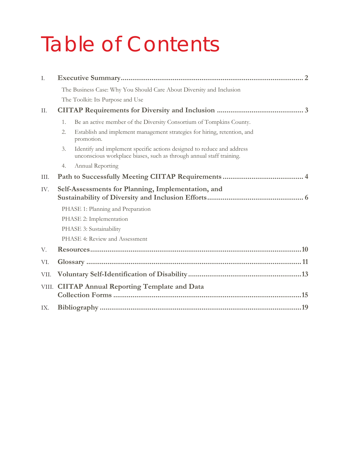# Table of Contents

| I.                                                        |                                                                      |                                                                                                                                                |  |  |  |  |  |  |
|-----------------------------------------------------------|----------------------------------------------------------------------|------------------------------------------------------------------------------------------------------------------------------------------------|--|--|--|--|--|--|
|                                                           | The Business Case: Why You Should Care About Diversity and Inclusion |                                                                                                                                                |  |  |  |  |  |  |
|                                                           |                                                                      | The Toolkit: Its Purpose and Use                                                                                                               |  |  |  |  |  |  |
| II.                                                       |                                                                      |                                                                                                                                                |  |  |  |  |  |  |
|                                                           | 1.                                                                   | Be an active member of the Diversity Consortium of Tompkins County.                                                                            |  |  |  |  |  |  |
|                                                           | 2.                                                                   | Establish and implement management strategies for hiring, retention, and<br>promotion.                                                         |  |  |  |  |  |  |
|                                                           | 3.                                                                   | Identify and implement specific actions designed to reduce and address<br>unconscious workplace biases, such as through annual staff training. |  |  |  |  |  |  |
|                                                           | 4.                                                                   | Annual Reporting                                                                                                                               |  |  |  |  |  |  |
| III.                                                      |                                                                      |                                                                                                                                                |  |  |  |  |  |  |
| Self-Assessments for Planning, Implementation, and<br>IV. |                                                                      |                                                                                                                                                |  |  |  |  |  |  |
|                                                           |                                                                      | PHASE 1: Planning and Preparation                                                                                                              |  |  |  |  |  |  |
|                                                           | PHASE 2: Implementation                                              |                                                                                                                                                |  |  |  |  |  |  |
|                                                           |                                                                      | PHASE 3: Sustainability                                                                                                                        |  |  |  |  |  |  |
|                                                           |                                                                      | PHASE 4: Review and Assessment                                                                                                                 |  |  |  |  |  |  |
| V.                                                        |                                                                      |                                                                                                                                                |  |  |  |  |  |  |
| VI.                                                       |                                                                      |                                                                                                                                                |  |  |  |  |  |  |
| VII.                                                      |                                                                      |                                                                                                                                                |  |  |  |  |  |  |
| VIII.                                                     | <b>CIITAP Annual Reporting Template and Data</b>                     |                                                                                                                                                |  |  |  |  |  |  |
| IX.                                                       |                                                                      |                                                                                                                                                |  |  |  |  |  |  |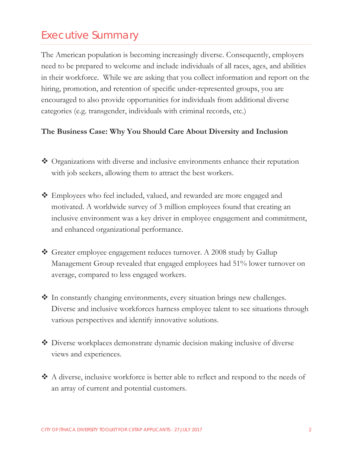# Executive Summary

The American population is becoming increasingly diverse. Consequently, employers need to be prepared to welcome and include individuals of all races, ages, and abilities in their workforce. While we are asking that you collect information and report on the hiring, promotion, and retention of specific under-represented groups, you are encouraged to also provide opportunities for individuals from additional diverse categories (e.g. transgender, individuals with criminal records, etc.)

#### **The Business Case: Why You Should Care About Diversity and Inclusion**

- ◆ Organizations with diverse and inclusive environments enhance their reputation with job seekers, allowing them to attract the best workers.
- Employees who feel included, valued, and rewarded are more engaged and motivated. A worldwide survey of 3 million employees found that creating an inclusive environment was a key driver in employee engagement and commitment, and enhanced organizational performance.
- ◆ Greater employee engagement reduces turnover. A 2008 study by Gallup Management Group revealed that engaged employees had 51% lower turnover on average, compared to less engaged workers.
- In constantly changing environments, every situation brings new challenges. Diverse and inclusive workforces harness employee talent to see situations through various perspectives and identify innovative solutions.
- Diverse workplaces demonstrate dynamic decision making inclusive of diverse views and experiences.
- A diverse, inclusive workforce is better able to reflect and respond to the needs of an array of current and potential customers.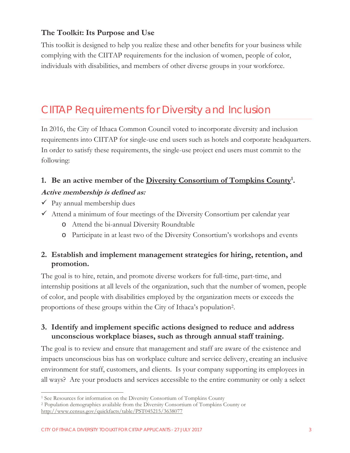#### **The Toolkit: Its Purpose and Use**

This toolkit is designed to help you realize these and other benefits for your business while complying with the CIITAP requirements for the inclusion of women, people of color, individuals with disabilities, and members of other diverse groups in your workforce.

# CIITAP Requirements for Diversity and Inclusion

In 2016, the City of Ithaca Common Council voted to incorporate diversity and inclusion requirements into CIITAP for single-use end users such as hotels and corporate headquarters. In order to satisfy these requirements, the single-use project end users must commit to the following:

### **1. Be an active member of the Diversity Consortium of Tompkins County1 .**

#### **Active membership is defined as:**

- $\checkmark$  Pay annual membership dues
- $\checkmark$  Attend a minimum of four meetings of the Diversity Consortium per calendar year
	- o Attend the bi-annual Diversity Roundtable
	- o Participate in at least two of the Diversity Consortium's workshops and events

#### **2. Establish and implement management strategies for hiring, retention, and promotion.**

The goal is to hire, retain, and promote diverse workers for full-time, part-time, and internship positions at all levels of the organization, such that the number of women, people of color, and people with disabilities employed by the organization meets or exceeds the proportions of these groups within the City of Ithaca's population2.

#### **3. Identify and implement specific actions designed to reduce and address unconscious workplace biases, such as through annual staff training.**

The goal is to review and ensure that management and staff are aware of the existence and impacts unconscious bias has on workplace culture and service delivery, creating an inclusive environment for staff, customers, and clients. Is your company supporting its employees in all ways? Are your products and services accessible to the entire community or only a select

 $\overline{a}$ 

<sup>1</sup> See Resources for information on the Diversity Consortium of Tompkins County 2 Population demographics available from the Diversity Consortium of Tompkins County or http://www.census.gov/quickfacts/table/PST045215/3638077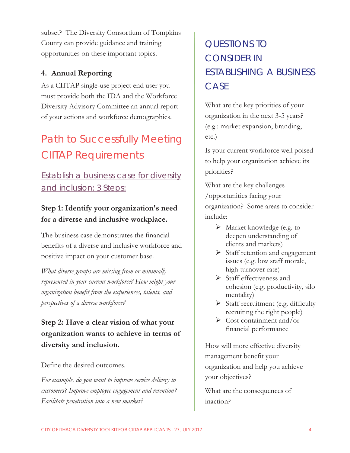subset? The Diversity Consortium of Tompkins County can provide guidance and training opportunities on these important topics.

#### **4. Annual Reporting**

As a CIITAP single-use project end user you must provide both the IDA and the Workforce Diversity Advisory Committee an annual report of your actions and workforce demographics.

# Path to Successfully Meeting CIITAP Requirements

# Establish a business case for diversity and inclusion: 3 Steps:

## **Step 1: Identify your organization's need for a diverse and inclusive workplace.**

The business case demonstrates the financial benefits of a diverse and inclusive workforce and positive impact on your customer base.

*What diverse groups are missing from or minimally represented in your current workforce? How might your organization benefit from the experiences, talents, and perspectives of a diverse workforce?* 

# **Step 2: Have a clear vision of what your organization wants to achieve in terms of diversity and inclusion.**

Define the desired outcomes.

*For example, do you want to improve service delivery to customers? Improve employee engagement and retention? Facilitate penetration into a new market?* 

# QUESTIONS TO CONSIDER IN ESTABLISHING A BUSINESS **CASE**

What are the key priorities of your organization in the next 3-5 years? (e.g.: market expansion, branding, etc.)

Is your current workforce well poised to help your organization achieve its priorities?

What are the key challenges /opportunities facing your organization? Some areas to consider include:

- ¾ Market knowledge (e.g. to deepen understanding of clients and markets)
- $\triangleright$  Staff retention and engagement issues (e.g. low staff morale, high turnover rate)
- $\triangleright$  Staff effectiveness and cohesion (e.g. productivity, silo mentality)
- $\triangleright$  Staff recruitment (e.g. difficulty recruiting the right people)
- $\triangleright$  Cost containment and/or financial performance

How will more effective diversity management benefit your organization and help you achieve your objectives?

What are the consequences of inaction?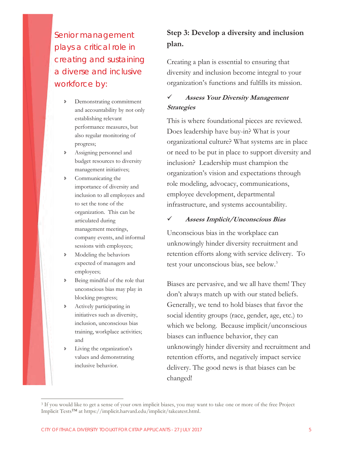Senior management plays a critical role in creating and sustaining a diverse and inclusive workforce by:

- Ð Demonstrating commitment and accountability by not only establishing relevant performance measures, but also regular monitoring of progress;
- Ð Assigning personnel and budget resources to diversity management initiatives;
- Ð Communicating the importance of diversity and inclusion to all employees and to set the tone of the organization. This can be articulated during management meetings, company events, and informal sessions with employees;
- Ð Modeling the behaviors expected of managers and employees;
- Ð Being mindful of the role that unconscious bias may play in blocking progress;
- Ð Actively participating in initiatives such as diversity, inclusion, unconscious bias training, workplace activities; and
- Living the organization's values and demonstrating inclusive behavior.

 $\overline{a}$ 

### **Step 3: Develop a diversity and inclusion plan.**

Creating a plan is essential to ensuring that diversity and inclusion become integral to your organization's functions and fulfills its mission.

#### 9 **Assess Your Diversity Management Strategies**

This is where foundational pieces are reviewed. Does leadership have buy-in? What is your organizational culture? What systems are in place or need to be put in place to support diversity and inclusion? Leadership must champion the organization's vision and expectations through role modeling, advocacy, communications, employee development, departmental infrastructure, and systems accountability.

#### 9 **Assess Implicit/Unconscious Bias**

Unconscious bias in the workplace can unknowingly hinder diversity recruitment and retention efforts along with service delivery. To test your unconscious bias, see below.3

Biases are pervasive, and we all have them! They don't always match up with our stated beliefs. Generally, we tend to hold biases that favor the social identity groups (race, gender, age, etc.) to which we belong. Because implicit/unconscious biases can influence behavior, they can unknowingly hinder diversity and recruitment and retention efforts, and negatively impact service delivery. The good news is that biases can be changed!

<sup>3</sup> If you would like to get a sense of your own implicit biases, you may want to take one or more of the free Project Implicit Tests™ at https://implicit.harvard.edu/implicit/takeatest.html.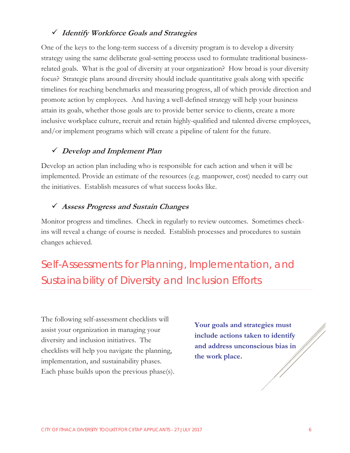#### 9 **Identify Workforce Goals and Strategies**

One of the keys to the long-term success of a diversity program is to develop a diversity strategy using the same deliberate goal-setting process used to formulate traditional businessrelated goals. What is the goal of diversity at your organization? How broad is your diversity focus? Strategic plans around diversity should include quantitative goals along with specific timelines for reaching benchmarks and measuring progress, all of which provide direction and promote action by employees. And having a well-defined strategy will help your business attain its goals, whether those goals are to provide better service to clients, create a more inclusive workplace culture, recruit and retain highly-qualified and talented diverse employees, and/or implement programs which will create a pipeline of talent for the future.

#### 9 **Develop and Implement Plan**

Develop an action plan including who is responsible for each action and when it will be implemented. Provide an estimate of the resources (e.g. manpower, cost) needed to carry out the initiatives. Establish measures of what success looks like.

#### 9 **Assess Progress and Sustain Changes**

Monitor progress and timelines. Check in regularly to review outcomes. Sometimes checkins will reveal a change of course is needed. Establish processes and procedures to sustain changes achieved.

Self-Assessments for Planning, Implementation, and Sustainability of Diversity and Inclusion Efforts

The following self-assessment checklists will assist your organization in managing your diversity and inclusion initiatives. The checklists will help you navigate the planning, implementation, and sustainability phases. Each phase builds upon the previous phase(s).

**Your goals and strategies must include actions taken to identify and address unconscious bias in the work place.**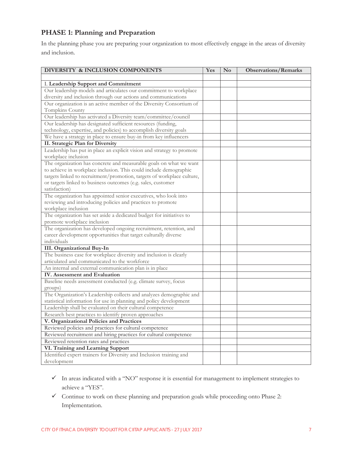#### **PHASE 1: Planning and Preparation**

In the planning phase you are preparing your organization to most effectively engage in the areas of diversity and inclusion.

| DIVERSITY & INCLUSION COMPONENTS                                                            | Yes | N <sub>0</sub> | <b>Observations/Remarks</b> |
|---------------------------------------------------------------------------------------------|-----|----------------|-----------------------------|
|                                                                                             |     |                |                             |
| I. Leadership Support and Commitment                                                        |     |                |                             |
| Our leadership models and articulates our commitment to workplace                           |     |                |                             |
| diversity and inclusion through our actions and communications                              |     |                |                             |
| Our organization is an active member of the Diversity Consortium of                         |     |                |                             |
| Tompkins County                                                                             |     |                |                             |
| Our leadership has activated a Diversity team/committee/council                             |     |                |                             |
| Our leadership has designated sufficient resources (funding,                                |     |                |                             |
| technology, expertise, and policies) to accomplish diversity goals                          |     |                |                             |
| We have a strategy in place to ensure buy-in from key influencers                           |     |                |                             |
| II. Strategic Plan for Diversity                                                            |     |                |                             |
| Leadership has put in place an explicit vision and strategy to promote                      |     |                |                             |
| workplace inclusion                                                                         |     |                |                             |
| The organization has concrete and measurable goals on what we want                          |     |                |                             |
| to achieve in workplace inclusion. This could include demographic                           |     |                |                             |
| targets linked to recruitment/promotion, targets of workplace culture,                      |     |                |                             |
| or targets linked to business outcomes (e.g. sales, customer                                |     |                |                             |
| satisfaction)                                                                               |     |                |                             |
| The organization has appointed senior executives, who look into                             |     |                |                             |
| reviewing and introducing policies and practices to promote                                 |     |                |                             |
| workplace inclusion<br>The organization has set aside a dedicated budget for initiatives to |     |                |                             |
| promote workplace inclusion                                                                 |     |                |                             |
| The organization has developed ongoing recruitment, retention, and                          |     |                |                             |
| career development opportunities that target culturally diverse                             |     |                |                             |
| individuals                                                                                 |     |                |                             |
| III. Organizational Buy-In                                                                  |     |                |                             |
| The business case for workplace diversity and inclusion is clearly                          |     |                |                             |
| articulated and communicated to the workforce                                               |     |                |                             |
| An internal and external communication plan is in place                                     |     |                |                             |
| IV. Assessment and Evaluation                                                               |     |                |                             |
| Baseline needs assessment conducted (e.g. climate survey, focus                             |     |                |                             |
| groups)                                                                                     |     |                |                             |
| The Organization's Leadership collects and analyzes demographic and                         |     |                |                             |
| statistical information for use in planning and policy development                          |     |                |                             |
| Leadership shall be evaluated on their cultural competence                                  |     |                |                             |
| Research best practices to identify proven approaches                                       |     |                |                             |
| V. Organizational Policies and Practices                                                    |     |                |                             |
| Reviewed policies and practices for cultural competence                                     |     |                |                             |
| Reviewed recruitment and hiring practices for cultural competence                           |     |                |                             |
| Reviewed retention rates and practices                                                      |     |                |                             |
| VI. Training and Learning Support                                                           |     |                |                             |
| Identified expert trainers for Diversity and Inclusion training and                         |     |                |                             |
| development                                                                                 |     |                |                             |

- $\checkmark$  In areas indicated with a "NO" response it is essential for management to implement strategies to achieve a "YES".
- $\checkmark$  Continue to work on these planning and preparation goals while proceeding onto Phase 2: Implementation.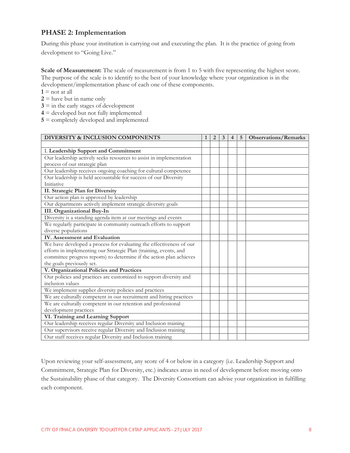#### **PHASE 2: Implementation**

During this phase your institution is carrying out and executing the plan. It is the practice of going from development to "Going Live."

**Scale of Measurement:** The scale of measurement is from 1 to 5 with five representing the highest score. The purpose of the scale is to identify to the best of your knowledge where your organization is in the development/implementation phase of each one of these components.

- $1 = \text{not at all}$
- $2 =$  have but in name only
- $3 \equiv$  in the early stages of development
- **4** = developed but not fully implemented
- **5** = completely developed and implemented

| DIVERSITY & INCLUSION COMPONENTS                                     | $\mathbf{1}$ | $\overline{2}$ | 3 | $\overline{4}$ | 5 | <b>Observations/Remarks</b> |
|----------------------------------------------------------------------|--------------|----------------|---|----------------|---|-----------------------------|
|                                                                      |              |                |   |                |   |                             |
| I. Leadership Support and Commitment                                 |              |                |   |                |   |                             |
| Our leadership actively seeks resources to assist in implementation  |              |                |   |                |   |                             |
| process of our strategic plan                                        |              |                |   |                |   |                             |
| Our leadership receives ongoing coaching for cultural competence     |              |                |   |                |   |                             |
| Our leadership is held accountable for success of our Diversity      |              |                |   |                |   |                             |
| <b>Initiative</b>                                                    |              |                |   |                |   |                             |
| II. Strategic Plan for Diversity                                     |              |                |   |                |   |                             |
| Our action plan is approved by leadership                            |              |                |   |                |   |                             |
| Our departments actively implement strategic diversity goals         |              |                |   |                |   |                             |
| <b>III.</b> Organizational Buy-In                                    |              |                |   |                |   |                             |
| Diversity is a standing agenda item at our meetings and events       |              |                |   |                |   |                             |
| We regularly participate in community outreach efforts to support    |              |                |   |                |   |                             |
| diverse populations                                                  |              |                |   |                |   |                             |
| <b>IV.</b> Assessment and Evaluation                                 |              |                |   |                |   |                             |
| We have developed a process for evaluating the effectiveness of our  |              |                |   |                |   |                             |
| efforts in implementing our Strategic Plan (training, events, and    |              |                |   |                |   |                             |
| committee progress reports) to determine if the action plan achieves |              |                |   |                |   |                             |
| the goals previously set.                                            |              |                |   |                |   |                             |
| V. Organizational Policies and Practices                             |              |                |   |                |   |                             |
| Our policies and practices are customized to support diversity and   |              |                |   |                |   |                             |
| inclusion values                                                     |              |                |   |                |   |                             |
| We implement supplier diversity policies and practices               |              |                |   |                |   |                             |
| We are culturally competent in our recruitment and hiring practices  |              |                |   |                |   |                             |
| We are culturally competent in our retention and professional        |              |                |   |                |   |                             |
| development practices                                                |              |                |   |                |   |                             |
| VI. Training and Learning Support                                    |              |                |   |                |   |                             |
| Our leadership receives regular Diversity and Inclusion training     |              |                |   |                |   |                             |
| Our supervisors receive regular Diversity and Inclusion training     |              |                |   |                |   |                             |
| Our staff receives regular Diversity and Inclusion training          |              |                |   |                |   |                             |

Upon reviewing your self-assessment, any score of 4 or below in a category (i.e. Leadership Support and Commitment, Strategic Plan for Diversity, etc.) indicates areas in need of development before moving onto the Sustainability phase of that category. The Diversity Consortium can advise your organization in fulfilling each component.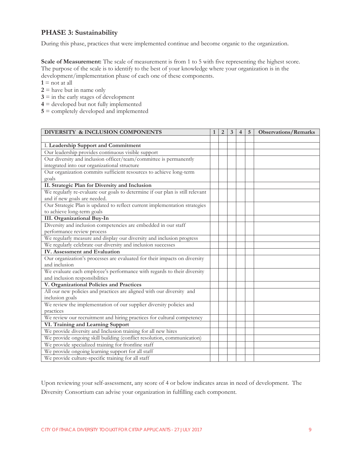#### **PHASE 3: Sustainability**

During this phase, practices that were implemented continue and become organic to the organization.

**Scale of Measurement:** The scale of measurement is from 1 to 5 with five representing the highest score. The purpose of the scale is to identify to the best of your knowledge where your organization is in the development/implementation phase of each one of these components.

 $1 = \text{not at all}$ 

- $2$  = have but in name only
- $3 =$  in the early stages of development
- **4** = developed but not fully implemented
- **5** = completely developed and implemented

| DIVERSITY & INCLUSION COMPONENTS                                              | $\mathbf{1}$ | $\overline{2}$ | 3 | $\overline{4}$ | 5 <sup>5</sup> | <b>Observations/Remarks</b> |
|-------------------------------------------------------------------------------|--------------|----------------|---|----------------|----------------|-----------------------------|
|                                                                               |              |                |   |                |                |                             |
| I. Leadership Support and Commitment                                          |              |                |   |                |                |                             |
| Our leadership provides continuous visible support                            |              |                |   |                |                |                             |
| Our diversity and inclusion officer/team/committee is permanently             |              |                |   |                |                |                             |
| integrated into our organizational structure                                  |              |                |   |                |                |                             |
| Our organization commits sufficient resources to achieve long-term            |              |                |   |                |                |                             |
| goals                                                                         |              |                |   |                |                |                             |
| II. Strategic Plan for Diversity and Inclusion                                |              |                |   |                |                |                             |
| We regularly re-evaluate our goals to determine if our plan is still relevant |              |                |   |                |                |                             |
| and if new goals are needed.                                                  |              |                |   |                |                |                             |
| Our Strategic Plan is updated to reflect current implementation strategies    |              |                |   |                |                |                             |
| to achieve long-term goals                                                    |              |                |   |                |                |                             |
| <b>III.</b> Organizational Buy-In                                             |              |                |   |                |                |                             |
| Diversity and inclusion competencies are embedded in our staff                |              |                |   |                |                |                             |
| performance review process                                                    |              |                |   |                |                |                             |
| We regularly measure and display our diversity and inclusion progress         |              |                |   |                |                |                             |
| We regularly celebrate our diversity and inclusion successes                  |              |                |   |                |                |                             |
| <b>IV.</b> Assessment and Evaluation                                          |              |                |   |                |                |                             |
| Our organization's processes are evaluated for their impacts on diversity     |              |                |   |                |                |                             |
| and inclusion                                                                 |              |                |   |                |                |                             |
| We evaluate each employee's performance with regards to their diversity       |              |                |   |                |                |                             |
| and inclusion responsibilities                                                |              |                |   |                |                |                             |
| V. Organizational Policies and Practices                                      |              |                |   |                |                |                             |
| All our new policies and practices are aligned with our diversity and         |              |                |   |                |                |                             |
| inclusion goals                                                               |              |                |   |                |                |                             |
| We review the implementation of our supplier diversity policies and           |              |                |   |                |                |                             |
| practices                                                                     |              |                |   |                |                |                             |
| We review our recruitment and hiring practices for cultural competency        |              |                |   |                |                |                             |
| VI. Training and Learning Support                                             |              |                |   |                |                |                             |
| We provide diversity and Inclusion training for all new hires                 |              |                |   |                |                |                             |
| We provide ongoing skill building (conflict resolution, communication)        |              |                |   |                |                |                             |
| We provide specialized training for frontline staff                           |              |                |   |                |                |                             |
| We provide ongoing learning support for all staff                             |              |                |   |                |                |                             |
| We provide culture-specific training for all staff                            |              |                |   |                |                |                             |

Upon reviewing your self-assessment, any score of 4 or below indicates areas in need of development. The Diversity Consortium can advise your organization in fulfilling each component.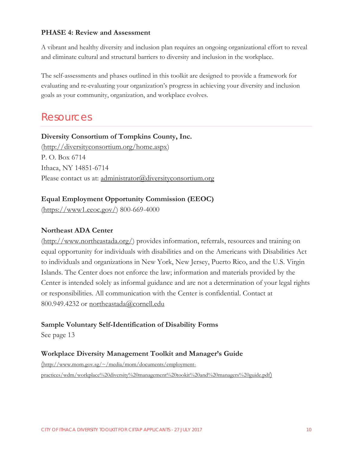#### **PHASE 4: Review and Assessment**

A vibrant and healthy diversity and inclusion plan requires an ongoing organizational effort to reveal and eliminate cultural and structural barriers to diversity and inclusion in the workplace.

The self-assessments and phases outlined in this toolkit are designed to provide a framework for evaluating and re-evaluating your organization's progress in achieving your diversity and inclusion goals as your community, organization, and workplace evolves.

## Resources

**Diversity Consortium of Tompkins County, Inc.**  (http://diversityconsortium.org/home.aspx) P. O. Box 6714 Ithaca, NY 14851-6714 Please contact us at: administrator@diversityconsortium.org

#### **Equal Employment Opportunity Commission (EEOC)**

(https://www1.eeoc.gov/) 800-669-4000

#### **Northeast ADA Center**

(http://www.northeastada.org/) provides information, referrals, resources and training on equal opportunity for individuals with disabilities and on the Americans with Disabilities Act to individuals and organizations in New York, New Jersey, Puerto Rico, and the U.S. Virgin Islands. The Center does not enforce the law; information and materials provided by the Center is intended solely as informal guidance and are not a determination of your legal rights or responsibilities. All communication with the Center is confidential. Contact at 800.949.4232 or northeastada@cornell.edu

#### **Sample Voluntary Self-Identification of Disability Forms**

See page 13

#### **Workplace Diversity Management Toolkit and Manager's Guide**

(http://www.mom.gov.sg/~/media/mom/documents/employmentpractices/wdm/workplace%20diversity%20management%20tookit%20and%20managers%20guide.pdf)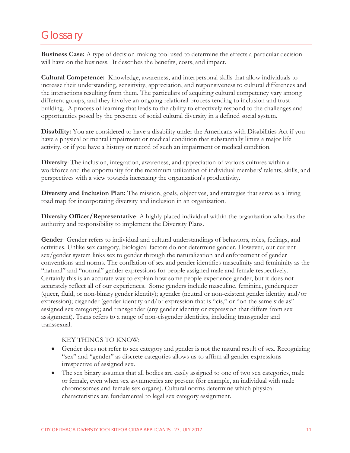# **Glossary**

**Business Case:** A type of decision-making tool used to determine the effects a particular decision will have on the business. It describes the benefits, costs, and impact.

**Cultural Competence:** Knowledge, awareness, and interpersonal skills that allow individuals to increase their understanding, sensitivity, appreciation, and responsiveness to cultural differences and the interactions resulting from them. The particulars of acquiring cultural competency vary among different groups, and they involve an ongoing relational process tending to inclusion and trustbuilding. A process of learning that leads to the ability to effectively respond to the challenges and opportunities posed by the presence of social cultural diversity in a defined social system.

**Disability:** You are considered to have a disability under the Americans with Disabilities Act if you have a physical or mental impairment or medical condition that substantially limits a major life activity, or if you have a history or record of such an impairment or medical condition.

**Diversity**: The inclusion, integration, awareness, and appreciation of various cultures within a workforce and the opportunity for the maximum utilization of individual members' talents, skills, and perspectives with a view towards increasing the organization's productivity.

**Diversity and Inclusion Plan:** The mission, goals, objectives, and strategies that serve as a living road map for incorporating diversity and inclusion in an organization.

**Diversity Officer/Representative**: A highly placed individual within the organization who has the authority and responsibility to implement the Diversity Plans.

**Gender**: Gender refers to individual and cultural understandings of behaviors, roles, feelings, and activities. Unlike sex category, biological factors do not determine gender. However, our current sex/gender system links sex to gender through the naturalization and enforcement of gender conventions and norms. The conflation of sex and gender identifies masculinity and femininity as the "natural" and "normal" gender expressions for people assigned male and female respectively. Certainly this is an accurate way to explain how some people experience gender, but it does not accurately reflect all of our experiences. Some genders include masculine, feminine, genderqueer (queer, fluid, or non-binary gender identity); agender (neutral or non-existent gender identity and/or expression); cisgender (gender identity and/or expression that is "cis," or "on the same side as" assigned sex category); and transgender (any gender identity or expression that differs from sex assignment). Trans refers to a range of non-cisgender identities, including transgender and transsexual.

#### KEY THINGS TO KNOW:

- Gender does not refer to sex category and gender is not the natural result of sex. Recognizing "sex" and "gender" as discrete categories allows us to affirm all gender expressions irrespective of assigned sex.
- The sex binary assumes that all bodies are easily assigned to one of two sex categories, male or female, even when sex asymmetries are present (for example, an individual with male chromosomes and female sex organs). Cultural norms determine which physical characteristics are fundamental to legal sex category assignment.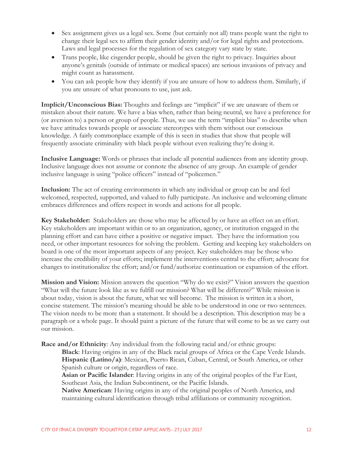- Sex assignment gives us a legal sex. Some (but certainly not all) trans people want the right to change their legal sex to affirm their gender identity and/or for legal rights and protections. Laws and legal processes for the regulation of sex category vary state by state.
- $\bullet$  Trans people, like cisgender people, should be given the right to privacy. Inquiries about anyone's genitals (outside of intimate or medical spaces) are serious invasions of privacy and might count as harassment.
- You can ask people how they identify if you are unsure of how to address them. Similarly, if you are unsure of what pronouns to use, just ask.

**Implicit/Unconscious Bias:** Thoughts and feelings are "implicit" if we are unaware of them or mistaken about their nature. We have a bias when, rather than being neutral, we have a preference for (or aversion to) a person or group of people. Thus, we use the term "implicit bias" to describe when we have attitudes towards people or associate stereotypes with them without our conscious knowledge. A fairly commonplace example of this is seen in studies that show that people will frequently associate criminality with black people without even realizing they're doing it.

**Inclusive Language:** Words or phrases that include all potential audiences from any identity group. Inclusive language does not assume or connote the absence of any group. An example of gender inclusive language is using "police officers" instead of "policemen."

**Inclusion:** The act of creating environments in which any individual or group can be and feel welcomed, respected, supported, and valued to fully participate. An inclusive and welcoming climate embraces differences and offers respect in words and actions for all people.

**Key Stakeholder:** Stakeholders are those who may be affected by or have an effect on an effort. Key stakeholders are important within or to an organization, agency, or institution engaged in the planning effort and can have either a positive or negative impact. They have the information you need, or other important resources for solving the problem. Getting and keeping key stakeholders on board is one of the most important aspects of any project. Key stakeholders may be those who increase the credibility of your efforts; implement the interventions central to the effort; advocate for changes to institutionalize the effort; and/or fund/authorize continuation or expansion of the effort.

**Mission and Vision:** Mission answers the question "Why do we exist?" Vision answers the question "What will the future look like as we fulfill our mission? What will be different?" While mission is about today, vision is about the future, what we will become. The mission is written in a short, concise statement. The mission's meaning should be able to be understood in one or two sentences. The vision needs to be more than a statement. It should be a description. This description may be a paragraph or a whole page. It should paint a picture of the future that will come to be as we carry out our mission.

**Race and/or Ethnicity**: Any individual from the following racial and/or ethnic groups:

**Black**: Having origins in any of the Black racial groups of Africa or the Cape Verde Islands. **Hispanic (Latino/a)**: Mexican, Puerto Rican, Cuban, Central, or South America, or other Spanish culture or origin, regardless of race.

**Asian or Pacific Islander**: Having origins in any of the original peoples of the Far East, Southeast Asia, the Indian Subcontinent, or the Pacific Islands.

**Native American**: Having origins in any of the original peoples of North America, and maintaining cultural identification through tribal affiliations or community recognition.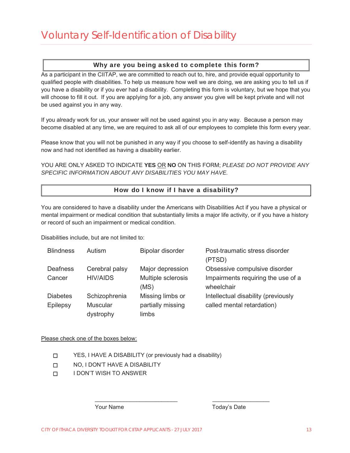#### Why are you being asked to complete this form?

As a participant in the CIITAP, we are committed to reach out to, hire, and provide equal opportunity to qualified people with disabilities. To help us measure how well we are doing, we are asking you to tell us if you have a disability or if you ever had a disability. Completing this form is voluntary, but we hope that you will choose to fill it out. If you are applying for a job, any answer you give will be kept private and will not be used against you in any way.

If you already work for us, your answer will not be used against you in any way. Because a person may become disabled at any time, we are required to ask all of our employees to complete this form every year.

Please know that you will not be punished in any way if you choose to self-identify as having a disability now and had not identified as having a disability earlier.

YOU ARE ONLY ASKED TO INDICATE YES OR NO ON THIS FORM; PLEASE DO NOT PROVIDE ANY *SPECIFIC INFORMATION ABOUT ANY DISABILITIES YOU MAY HAVE.* 

#### How do I know if I have a disability?

You are considered to have a disability under the Americans with Disabilities Act if you have a physical or mental impairment or medical condition that substantially limits a major life activity, or if you have a history or record of such an impairment or medical condition.

Disabilities include, but are not limited to:

| <b>Blindness</b> | Autism          | <b>Bipolar disorder</b> | Post-traumatic stress disorder<br>(PTSD) |
|------------------|-----------------|-------------------------|------------------------------------------|
| <b>Deafness</b>  | Cerebral palsy  | Major depression        | Obsessive compulsive disorder            |
| Cancer           | <b>HIV/AIDS</b> | Multiple sclerosis      | Impairments requiring the use of a       |
|                  |                 | (MS)                    | wheelchair                               |
| <b>Diabetes</b>  | Schizophrenia   | Missing limbs or        | Intellectual disability (previously      |
| Epilepsy         | <b>Muscular</b> | partially missing       | called mental retardation)               |
|                  | dystrophy       | limbs                   |                                          |

BBBBBBBBBBBBBBBBBBBBBBBBBBBBBBBBBBBBBBBBBBBB

Please check one of the boxes below:

- □ YES, I HAVE A DISABILITY (or previously had a disability)
- □ NO, I DON'T HAVE A DISABILITY
- □ IDON'T WISH TO ANSWER

Your Name Today's Date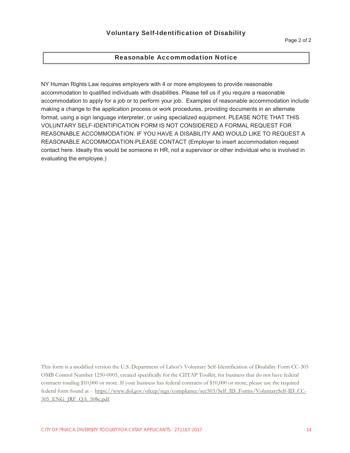#### Reasonable Accommodation Notice

NY Human Rights Law requires employers with 4 or more employees to provide reasonable accommodation to qualified individuals with disabilities. Please tell us if you require a reasonable accommodation to apply for a job or to perform your job. Examples of reasonable accommodation include making a change to the application process or work procedures, providing documents in an alternate format, using a sign language interpreter, or using specialized equipment. PLEASE NOTE THAT THIS VOLUNTARY SELF-IDENTIFICATION FORM IS NOT CONSIDERED A FORMAL REQUEST FOR REASONABLE ACCOMMODATION. IF YOU HAVE A DISABILITY AND WOULD LIKE TO REQUEST A REASONABLE ACCOMMODATION PLEASE CONTACT (Employer to insert accommodation request contact here. Ideally this would be someone in HR, not a supervisor or other individual who is involved in evaluating the employee.)

This form is a modified version the U.S. Department of Labor's Voluntary Self-Identification of Disability Form CC-305 OMB Control Number 1250-0005, created specifically for the CIITAP Toolkit, for business that do not have federal contracts totaling \$10,000 or more. If your business has federal contracts of \$10,000 or more, please use the required federal form found at - https://www.dol.gov/ofccp/regs/compliance/sec503/Self\_ID\_Forms/VoluntarySelf-ID\_CC-305\_ENG\_JRF\_QA\_508c.pdf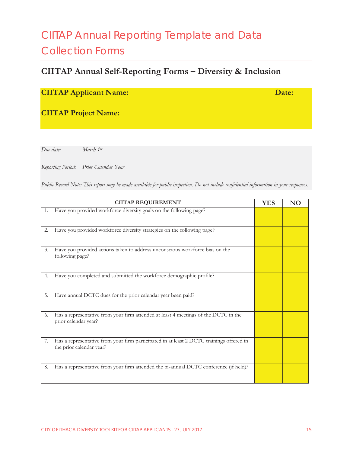# CIITAP Annual Reporting Template and Data Collection Forms

# **CIITAP Annual Self-Reporting Forms – Diversity & Inclusion**

### **CIITAP Applicant Name: Date: Date: Date:**

**CIITAP Project Name:** 

*Due date: March 1st*

*Reporting Period: Prior Calendar Year* 

*Public Record Note: This report may be made available for public inspection. Do not include confidential information in your responses.* 

|    | <b>CIITAP REQUIREMENT</b>                                                                                            | <b>YES</b> | <b>NO</b> |
|----|----------------------------------------------------------------------------------------------------------------------|------------|-----------|
| 1. | Have you provided workforce diversity goals on the following page?                                                   |            |           |
| 2. | Have you provided workforce diversity strategies on the following page?                                              |            |           |
| 3. | Have you provided actions taken to address unconscious workforce bias on the<br>following page?                      |            |           |
| 4. | Have you completed and submitted the workforce demographic profile?                                                  |            |           |
| 5. | Have annual DCTC dues for the prior calendar year been paid?                                                         |            |           |
| 6. | Has a representative from your firm attended at least 4 meetings of the DCTC in the<br>prior calendar year?          |            |           |
| 7. | Has a representative from your firm participated in at least 2 DCTC trainings offered in<br>the prior calendar year? |            |           |
| 8. | Has a representative from your firm attended the bi-annual DCTC conference (if held)?                                |            |           |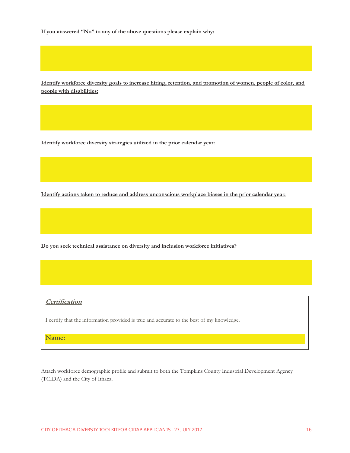**If you answered "No" to any of the above questions please explain why:** 

**Identify workforce diversity goals to increase hiring, retention, and promotion of women, people of color, and people with disabilities:** 

**Identify workforce diversity strategies utilized in the prior calendar year:** 

**Identify actions taken to reduce and address unconscious workplace biases in the prior calendar year:** 

**Do you seek technical assistance on diversity and inclusion workforce initiatives?** 

#### **Certification**

I certify that the information provided is true and accurate to the best of my knowledge.

**Name:** 

Attach workforce demographic profile and submit to both the Tompkins County Industrial Development Agency (TCIDA) and the City of Ithaca.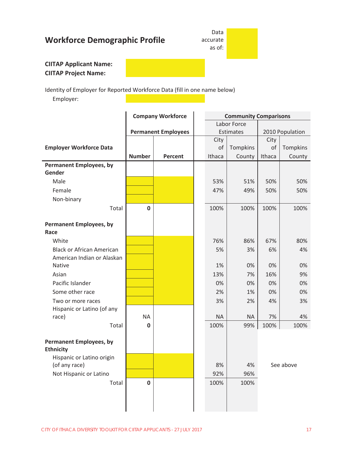# **Workforce Demographic Profile**

Data accurate as of:

#### **CIITAP Applicant Name: CIITAP Project Name:**

Identity of Employer for Reported Workforce Data (fill in one name below)

Employer:

|                                  |               | <b>Company Workforce</b>   |  |           |             | <b>Community Comparisons</b> |           |  |
|----------------------------------|---------------|----------------------------|--|-----------|-------------|------------------------------|-----------|--|
|                                  |               |                            |  |           | Labor Force |                              |           |  |
|                                  |               | <b>Permanent Employees</b> |  |           | Estimates   | 2010 Population              |           |  |
|                                  |               |                            |  | City      |             | City                         |           |  |
| <b>Employer Workforce Data</b>   |               |                            |  | of        | Tompkins    | of                           | Tompkins  |  |
|                                  | <b>Number</b> | Percent                    |  | Ithaca    | County      | Ithaca                       | County    |  |
| <b>Permanent Employees, by</b>   |               |                            |  |           |             |                              |           |  |
| Gender                           |               |                            |  |           |             |                              |           |  |
| Male                             |               |                            |  | 53%       | 51%         | 50%                          | 50%       |  |
| Female                           |               |                            |  | 47%       | 49%         | 50%                          | 50%       |  |
| Non-binary                       |               |                            |  |           |             |                              |           |  |
| Total                            | $\bf{0}$      |                            |  | 100%      | 100%        | 100%                         | 100%      |  |
|                                  |               |                            |  |           |             |                              |           |  |
| <b>Permanent Employees, by</b>   |               |                            |  |           |             |                              |           |  |
| Race                             |               |                            |  |           |             |                              |           |  |
| White                            |               |                            |  | 76%       | 86%         | 67%                          | 80%       |  |
| <b>Black or African American</b> |               |                            |  | 5%        | 3%          | 6%                           | 4%        |  |
| American Indian or Alaskan       |               |                            |  |           |             |                              |           |  |
| <b>Native</b>                    |               |                            |  | 1%        | 0%          | 0%                           | 0%        |  |
| Asian                            |               |                            |  | 13%       | 7%          | 16%                          | 9%        |  |
| Pacific Islander                 |               |                            |  | 0%        | 0%          | 0%                           | 0%        |  |
| Some other race                  |               |                            |  | 2%        | 1%          | 0%                           | 0%        |  |
| Two or more races                |               |                            |  | 3%        | 2%          | 4%                           | 3%        |  |
| Hispanic or Latino (of any       |               |                            |  |           |             |                              |           |  |
| race)                            | <b>NA</b>     |                            |  | <b>NA</b> | $\sf NA$    | 7%                           | 4%        |  |
| Total                            | $\mathbf 0$   |                            |  | 100%      | 99%         | 100%                         | 100%      |  |
|                                  |               |                            |  |           |             |                              |           |  |
| <b>Permanent Employees, by</b>   |               |                            |  |           |             |                              |           |  |
| <b>Ethnicity</b>                 |               |                            |  |           |             |                              |           |  |
| Hispanic or Latino origin        |               |                            |  |           |             |                              |           |  |
| (of any race)                    |               |                            |  | 8%        | 4%          |                              | See above |  |
| Not Hispanic or Latino           |               |                            |  | 92%       | 96%         |                              |           |  |
| Total                            | $\bf{0}$      |                            |  | 100%      | 100%        |                              |           |  |
|                                  |               |                            |  |           |             |                              |           |  |
|                                  |               |                            |  |           |             |                              |           |  |
|                                  |               |                            |  |           |             |                              |           |  |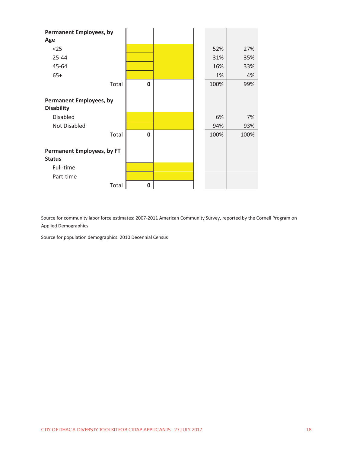| <b>Permanent Employees, by</b><br>Age               |              |      |      |
|-----------------------------------------------------|--------------|------|------|
| $25$                                                |              | 52%  | 27%  |
| 25-44                                               |              | 31%  | 35%  |
| 45-64                                               |              | 16%  | 33%  |
| $65+$                                               |              | 1%   | 4%   |
| Total                                               | $\mathbf 0$  | 100% | 99%  |
| <b>Permanent Employees, by</b><br><b>Disability</b> |              |      |      |
| <b>Disabled</b>                                     |              | 6%   | 7%   |
| Not Disabled                                        |              | 94%  | 93%  |
| Total                                               | $\mathbf{0}$ | 100% | 100% |
| <b>Permanent Employees, by FT</b><br><b>Status</b>  |              |      |      |
| Full-time                                           |              |      |      |
| Part-time                                           |              |      |      |
| Total                                               | 0            |      |      |

Source for community labor force estimates: 2007-2011 American Community Survey, reported by the Cornell Program on Applied Demographics

Source for population demographics: 2010 Decennial Census